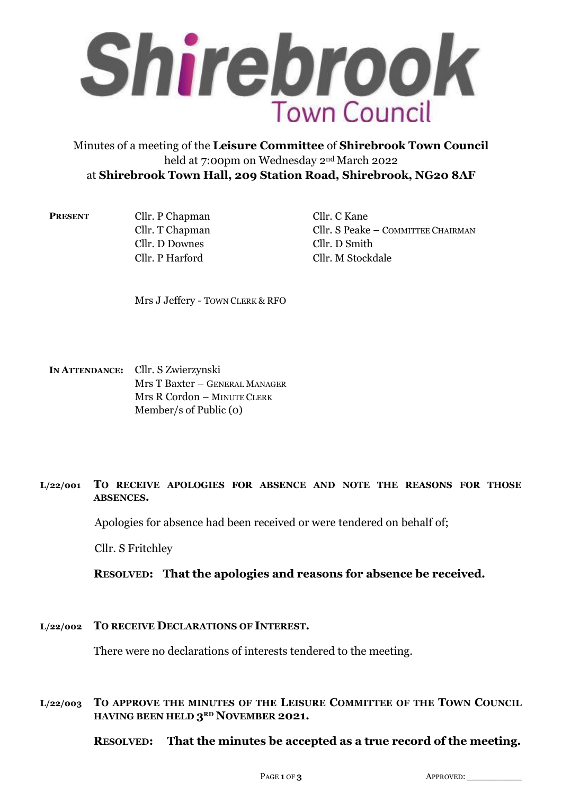

# Minutes of a meeting of the **Leisure Committee** of **Shirebrook Town Council**  held at 7:00pm on Wednesday 2nd March 2022 at **Shirebrook Town Hall, 209 Station Road, Shirebrook, NG20 8AF**

**PRESENT** Cllr. P Chapman Cllr. C Kane Cllr. D Downes Cllr. D Smith Cllr. P Harford Cllr. M Stockdale

Cllr. T Chapman Cllr. S Peake – COMMITTEE CHAIRMAN

Mrs J Jeffery - TOWN CLERK & RFO

**IN ATTENDANCE:** Cllr. S Zwierzynski Mrs T Baxter – GENERAL MANAGER Mrs R Cordon – MINUTE CLERK Member/s of Public (0)

## **L/22/001 TO RECEIVE APOLOGIES FOR ABSENCE AND NOTE THE REASONS FOR THOSE ABSENCES.**

Apologies for absence had been received or were tendered on behalf of;

Cllr. S Fritchley

**RESOLVED: That the apologies and reasons for absence be received.**

**L/22/002 TO RECEIVE DECLARATIONS OF INTEREST.**

There were no declarations of interests tendered to the meeting.

## **L/22/003 TO APPROVE THE MINUTES OF THE LEISURE COMMITTEE OF THE TOWN COUNCIL HAVING BEEN HELD 3RD NOVEMBER 2021.**

**RESOLVED: That the minutes be accepted as a true record of the meeting.**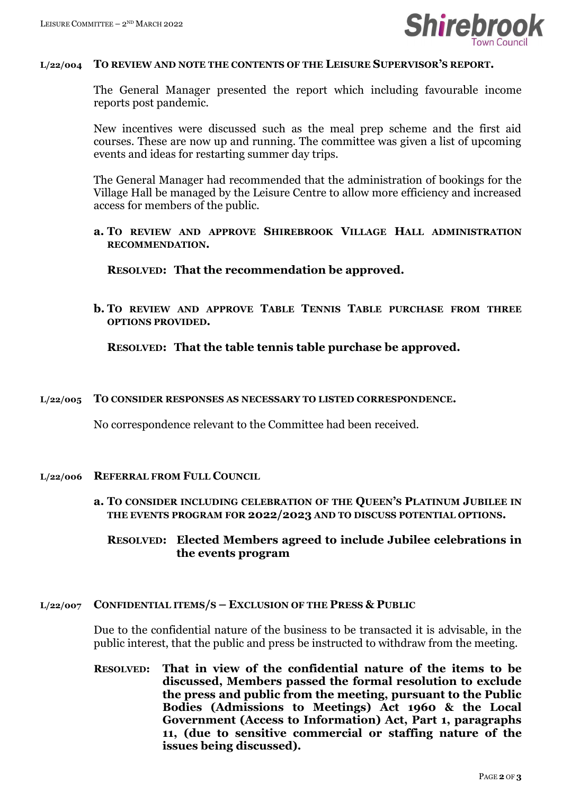

#### **L/22/004 TO REVIEW AND NOTE THE CONTENTS OF THE LEISURE SUPERVISOR'S REPORT.**

The General Manager presented the report which including favourable income reports post pandemic.

New incentives were discussed such as the meal prep scheme and the first aid courses. These are now up and running. The committee was given a list of upcoming events and ideas for restarting summer day trips.

The General Manager had recommended that the administration of bookings for the Village Hall be managed by the Leisure Centre to allow more efficiency and increased access for members of the public.

**a. TO REVIEW AND APPROVE SHIREBROOK VILLAGE HALL ADMINISTRATION RECOMMENDATION.**

**RESOLVED: That the recommendation be approved.**

**b. TO REVIEW AND APPROVE TABLE TENNIS TABLE PURCHASE FROM THREE OPTIONS PROVIDED.**

**RESOLVED: That the table tennis table purchase be approved.**

#### **L/22/005 TO CONSIDER RESPONSES AS NECESSARY TO LISTED CORRESPONDENCE.**

No correspondence relevant to the Committee had been received.

#### **L/22/006 REFERRAL FROM FULL COUNCIL**

**a. TO CONSIDER INCLUDING CELEBRATION OF THE QUEEN'S PLATINUM JUBILEE IN THE EVENTS PROGRAM FOR 2022/2023 AND TO DISCUSS POTENTIAL OPTIONS.**

## **RESOLVED: Elected Members agreed to include Jubilee celebrations in the events program**

#### **L/22/007 CONFIDENTIAL ITEMS/S – EXCLUSION OF THE PRESS & PUBLIC**

Due to the confidential nature of the business to be transacted it is advisable, in the public interest, that the public and press be instructed to withdraw from the meeting.

**RESOLVED: That in view of the confidential nature of the items to be discussed, Members passed the formal resolution to exclude the press and public from the meeting, pursuant to the Public Bodies (Admissions to Meetings) Act 1960 & the Local Government (Access to Information) Act, Part 1, paragraphs 11, (due to sensitive commercial or staffing nature of the issues being discussed).**